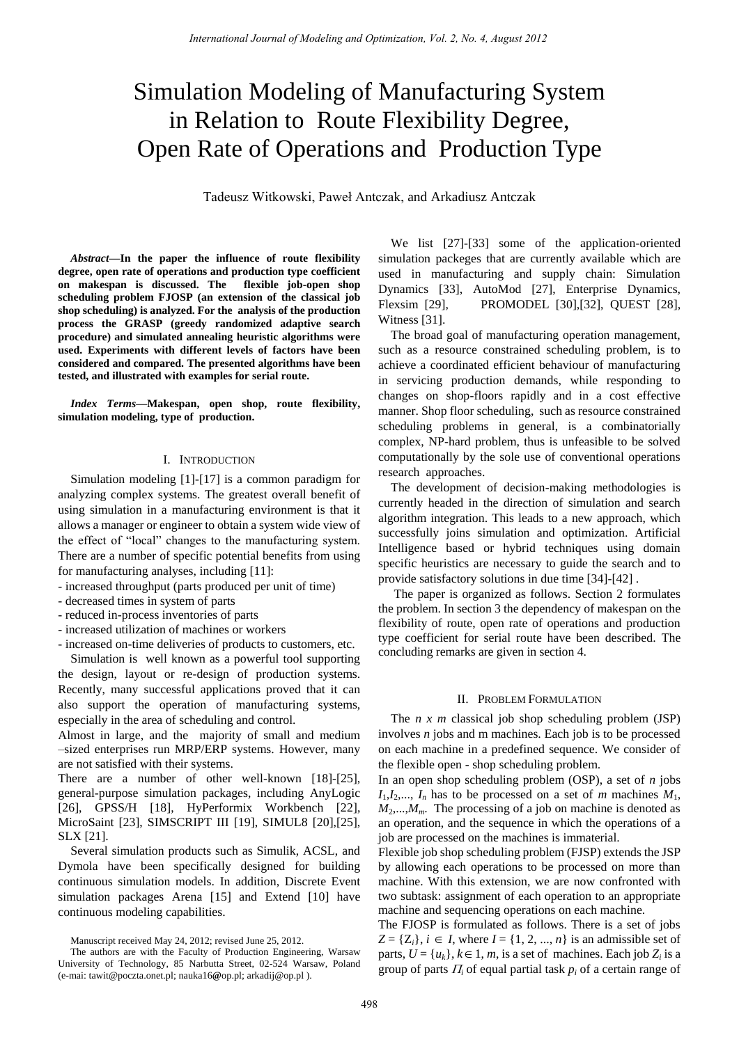# Simulation Modeling of Manufacturing System in Relation to Route Flexibility Degree, Open Rate of Operations and Production Type

Tadeusz Witkowski, Paweł Antczak, and Arkadiusz Antczak

*Abstract***—In the paper the influence of route flexibility degree, open rate of operations and production type coefficient on makespan is discussed. The flexible job-open shop scheduling problem FJOSP (an extension of the classical job shop scheduling) is analyzed. For the analysis of the production process the GRASP (greedy randomized adaptive search procedure) and simulated annealing heuristic algorithms were used. Experiments with different levels of factors have been considered and compared. The presented algorithms have been tested, and illustrated with examples for serial route.** 

*Index Terms***—Makespan, open shop, route flexibility, simulation modeling, type of production.** 

#### I. INTRODUCTION

Simulation modeling [1]-[17] is a common paradigm for analyzing complex systems. The greatest overall benefit of using simulation in a manufacturing environment is that it allows a manager or engineer to obtain a system wide view of the effect of "local" changes to the manufacturing system. There are a number of specific potential benefits from using for manufacturing analyses, including [11]:

- increased throughput (parts produced per unit of time)
- decreased times in system of parts
- reduced in-process inventories of parts
- increased utilization of machines or workers
- increased on-time deliveries of products to customers, etc.

Simulation is well known as a powerful tool supporting the design, layout or re-design of production systems. Recently, many successful applications proved that it can also support the operation of manufacturing systems, especially in the area of scheduling and control.

Almost in large, and the majority of small and medium –sized enterprises run MRP/ERP systems. However, many are not satisfied with their systems.

There are a number of other well-known [18]-[25], general-purpose simulation packages, including AnyLogic [26], GPSS/H [18], HyPerformix Workbench [22], MicroSaint [23], SIMSCRIPT III [19], SIMUL8 [20],[25], SLX [21].

Several simulation products such as Simulik, ACSL, and Dymola have been specifically designed for building continuous simulation models. In addition, Discrete Event simulation packages Arena [15] and Extend [10] have continuous modeling capabilities.

We list [27]-[33] some of the application-oriented simulation packeges that are currently available which are used in manufacturing and supply chain: Simulation Dynamics [33], AutoMod [27], Enterprise Dynamics, Flexsim [29], PROMODEL [30],[32], QUEST [28], Witness [31].

The broad goal of manufacturing operation management, such as a resource constrained scheduling problem, is to achieve a coordinated efficient behaviour of manufacturing in servicing production demands, while responding to changes on shop-floors rapidly and in a cost effective manner. Shop floor scheduling, such as resource constrained scheduling problems in general, is a combinatorially complex, NP-hard problem, thus is unfeasible to be solved computationally by the sole use of conventional operations research approaches.

The development of decision-making methodologies is currently headed in the direction of simulation and search algorithm integration. This leads to a new approach, which successfully joins simulation and optimization. Artificial Intelligence based or hybrid techniques using domain specific heuristics are necessary to guide the search and to provide satisfactory solutions in due time [34]-[42] .

 The paper is organized as follows. Section 2 formulates the problem. In section 3 the dependency of makespan on the flexibility of route, open rate of operations and production type coefficient for serial route have been described. The concluding remarks are given in section 4.

#### II. PROBLEM FORMULATION

The *n x m* classical job shop scheduling problem (JSP) involves *n* jobs and m machines. Each job is to be processed on each machine in a predefined sequence. We consider of the flexible open - shop scheduling problem.

In an open shop scheduling problem (OSP), a set of *n* jobs  $I_1, I_2, \ldots, I_n$  has to be processed on a set of *m* machines  $M_1$ ,  $M_2$ ,..., $M_m$ . The processing of a job on machine is denoted as an operation, and the sequence in which the operations of a job are processed on the machines is immaterial.

Flexible job shop scheduling problem (FJSP) extends the JSP by allowing each operations to be processed on more than machine. With this extension, we are now confronted with two subtask: assignment of each operation to an appropriate machine and sequencing operations on each machine.

The FJOSP is formulated as follows. There is a set of jobs  $Z = \{Z_i\}, i \in I$ , where  $I = \{1, 2, ..., n\}$  is an admissible set of parts,  $U = \{u_k\}$ ,  $k \in 1, m$ , is a set of machines. Each job  $Z_i$  is a group of parts  $\Pi$ <sup>*i*</sup> of equal partial task  $p$ <sup>*i*</sup> of a certain range of

Manuscript received May 24, 2012; revised June 25, 2012.

The authors are with the Faculty of Production Engineering, Warsaw University of Technology, 85 Narbutta Street, 02-524 Warsaw, Poland (e-mai: tawit@poczta.onet.pl; nauka16**@**op.pl; arkadij@op.pl ).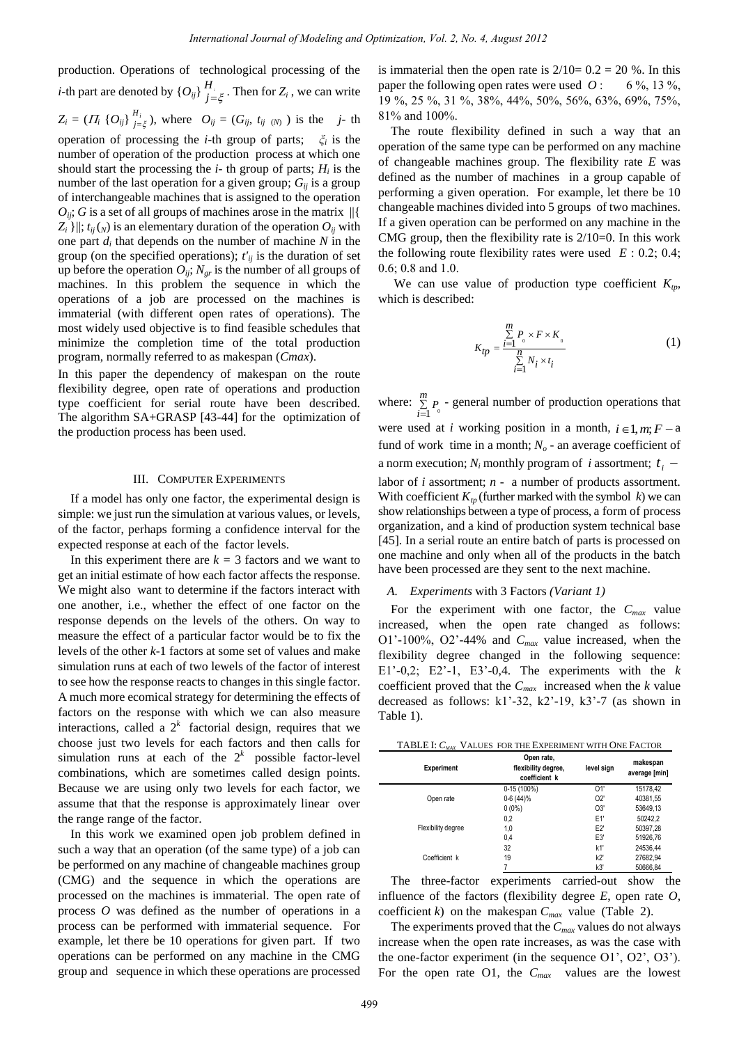production. Operations of technological processing of the *i*-th part are denoted by  $\{O_{ij}\}\bigcup_{j=\xi}^{H_i}$ . Then for  $Z_i$ , we can write  $Z_i = (I_i \{O_{ij}\}\}_{j=\xi}^{H_i})$ , where  $O_{ij} = (G_{ij}, t_{ij \(N)})$  is the *j*- th operation of processing the *i*-th group of parts; *ξ<sup>i</sup>* is the number of operation of the production process at which one should start the processing the  $i$ - th group of parts;  $H_i$  is the number of the last operation for a given group;  $G_{ii}$  is a group of interchangeable machines that is assigned to the operation  $O_{ii}$ ; *G* is a set of all groups of machines arose in the matrix  $\|\{$  $Z_i$  }||;  $t_{ij}(N)$  is an elementary duration of the operation  $O_{ij}$  with one part  $d_i$  that depends on the number of machine  $N$  in the group (on the specified operations);  $t'_{ij}$  is the duration of set up before the operation  $O_{ij}$ ;  $N_{gr}$  is the number of all groups of machines. In this problem the sequence in which the operations of a job are processed on the machines is immaterial (with different open rates of operations). The most widely used objective is to find feasible schedules that minimize the completion time of the total production program, normally referred to as makespan (*Cmax*).

In this paper the dependency of makespan on the route flexibility degree, open rate of operations and production type coefficient for serial route have been described. The algorithm SA+GRASP [43-44] for the optimization of the production process has been used.

#### III. COMPUTER EXPERIMENTS

If a model has only one factor, the experimental design is simple: we just run the simulation at various values, or levels, of the factor, perhaps forming a confidence interval for the expected response at each of the factor levels.

In this experiment there are  $k = 3$  factors and we want to get an initial estimate of how each factor affects the response. We might also want to determine if the factors interact with one another, i.e., whether the effect of one factor on the response depends on the levels of the others. On way to measure the effect of a particular factor would be to fix the levels of the other *k*-1 factors at some set of values and make simulation runs at each of two lewels of the factor of interest to see how the response reacts to changes in this single factor. A much more ecomical strategy for determining the effects of factors on the response with which we can also measure interactions, called a  $2^k$  factorial design, requires that we choose just two levels for each factors and then calls for simulation runs at each of the  $2^k$  possible factor-level combinations, which are sometimes called design points. Because we are using only two levels for each factor, we assume that that the response is approximately linear over the range range of the factor.

In this work we examined open job problem defined in such a way that an operation (of the same type) of a job can be performed on any machine of changeable machines group (CMG) and the sequence in which the operations are processed on the machines is immaterial. The open rate of process *O* was defined as the number of operations in a process can be performed with immaterial sequence. For example, let there be 10 operations for given part. If two operations can be performed on any machine in the CMG group and sequence in which these operations are processed

is immaterial then the open rate is  $2/10= 0.2 = 20$  %. In this paper the following open rates were used  $Q$ : 6%, 13%, 19 %, 25 %, 31 %, 38%, 44%, 50%, 56%, 63%, 69%, 75%, 81% and 100%.

The route flexibility defined in such a way that an operation of the same type can be performed on any machine of changeable machines group. The flexibility rate *E* was defined as the number of machines in a group capable of performing a given operation. For example, let there be 10 changeable machines divided into 5 groups of two machines. If a given operation can be performed on any machine in the CMG group, then the flexibility rate is  $2/10=0$ . In this work the following route flexibility rates were used  $E: 0.2; 0.4;$ 0.6; 0.8 and 1.0.

We can use value of production type coefficient *Ktp,* which is described:

$$
K_{tp} = \frac{\sum\limits_{i=1}^{m} P_{0} \times F \times K_{0}}{\sum\limits_{i=1}^{n} N_{i} \times t_{i}}
$$
 (1)

where:  $\mathbf{1}^{-0}$  $\sum_{i=1}^m P$ - general number of production operations that were used at *i* working position in a month,  $i \in 1, m; F - a$ fund of work time in a month;  $N<sub>o</sub>$  - an average coefficient of a norm execution;  $N_i$  monthly program of *i* assortment;  $t_i$ labor of *i* assortment; *n* - a number of products assortment. With coefficient  $K_{tn}$  (further marked with the symbol k) we can show relationships between a type of process, a form of process organization, and a kind of production system technical base [45]. In a serial route an entire batch of parts is processed on one machine and only when all of the products in the batch have been processed are they sent to the next machine.

## *A. Experiments* with 3 Factors *(Variant 1)*

For the experiment with one factor, the *Cmax* value increased, when the open rate changed as follows: O1'-100%, O2'-44% and *Cmax* value increased, when the flexibility degree changed in the following sequence: E1'-0,2; E2'-1, E3'-0,4. The experiments with the *k* coefficient proved that the  $C_{max}$  increased when the *k* value decreased as follows: k1'-32, k2'-19, k3'-7 (as shown in Table 1).

|  |  |  | TABLE I: $C_{MAX}$ VALUES FOR THE EXPERIMENT WITH ONE FACTOR |
|--|--|--|--------------------------------------------------------------|
|--|--|--|--------------------------------------------------------------|

| <b>Experiment</b>  | Open rate,<br>flexibility degree,<br>coefficient k | level sign | makespan<br>average [min] |
|--------------------|----------------------------------------------------|------------|---------------------------|
|                    | $0-15(100%)$                                       | 01'        | 15178.42                  |
| Open rate          | $0-6(44)\%$                                        | O2'        | 40381,55                  |
|                    | $0(0\%)$                                           | O3'        | 53649,13                  |
|                    | 0,2                                                | E1'        | 50242,2                   |
| Flexibility degree | 1,0                                                | E2         | 50397.28                  |
|                    | 0,4                                                | E3'        | 51926,76                  |
|                    | 32                                                 | k1'        | 24536,44                  |
| Coefficient k      | 19                                                 | k2         | 27682,94                  |
|                    |                                                    | k3'        | 50666.84                  |

The three-factor experiments carried-out show the influence of the factors (flexibility degree *E*, open rate *O*, coefficient *k*) on the makespan  $C_{max}$  value (Table 2).

The experiments proved that the *Cmax* values do not always increase when the open rate increases, as was the case with the one-factor experiment (in the sequence O1', O2', O3'). For the open rate O1, the  $C_{max}$  values are the lowest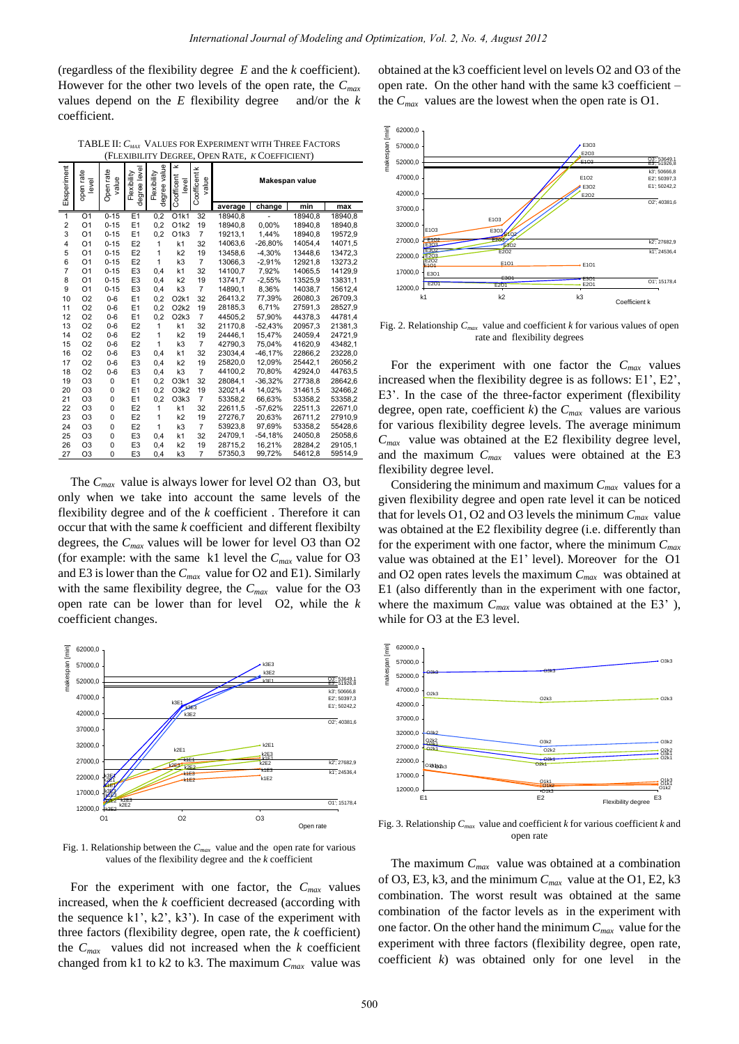(regardless of the flexibility degree *E* and the *k* coefficient). However for the other two levels of the open rate, the *Cmax* values depend on the *E* flexibility degree and/or the *k* coefficient.

TABLE II: *CMAX* VALUES FOR EXPERIMENT WITH THREE FACTORS (FLEXIBILITY DEGREE, OPEN RATE, *K* COEFFICIENT)

| Eksperiment             | open rate<br>level | Open rate<br>value | degree level<br>Flexibility | degree value<br>Flexibility | ×<br>Coofficent<br>level | Coofficent k<br>value | Makespan value |           |         |         |
|-------------------------|--------------------|--------------------|-----------------------------|-----------------------------|--------------------------|-----------------------|----------------|-----------|---------|---------|
|                         |                    |                    |                             |                             |                          |                       | average        | change    | min     | max     |
| $\overline{1}$          | O <sub>1</sub>     | $0 - 15$           | E1                          | 0,2                         | O1k1                     | 32                    | 18940.8        |           | 18940.8 | 18940,8 |
| $\overline{\mathbf{c}}$ | O <sub>1</sub>     | $0 - 15$           | E <sub>1</sub>              | 0,2                         | O <sub>1k2</sub>         | 19                    | 18940.8        | 0,00%     | 18940.8 | 18940,8 |
| 3                       | O <sub>1</sub>     | $0 - 15$           | E1                          | 0,2                         | O <sub>1k3</sub>         | $\overline{7}$        | 19213,1        | 1,44%     | 18940.8 | 19572,9 |
| 4                       | O <sub>1</sub>     | $0 - 15$           | E <sub>2</sub>              | 1                           | k1                       | 32                    | 14063,6        | $-26,80%$ | 14054,4 | 14071,5 |
| 5                       | O <sub>1</sub>     | $0 - 15$           | E <sub>2</sub>              | $\mathbf{1}$                | k2                       | 19                    | 13458.6        | $-4.30%$  | 13448.6 | 13472,3 |
| 6                       | O <sub>1</sub>     | $0 - 15$           | E <sub>2</sub>              | $\mathbf{1}$                | k3                       | $\overline{7}$        | 13066,3        | $-2,91%$  | 12921,8 | 13273,2 |
| $\overline{7}$          | O <sub>1</sub>     | $0 - 15$           | E <sub>3</sub>              | 0,4                         | k <sub>1</sub>           | 32                    | 14100.7        | 7,92%     | 14065.5 | 14129,9 |
| 8                       | O <sub>1</sub>     | $0 - 15$           | E <sub>3</sub>              | 0,4                         | k2                       | 19                    | 13741.7        | $-2,55%$  | 13525.9 | 13831,1 |
| 9                       | O <sub>1</sub>     | $0 - 15$           | E <sub>3</sub>              | 0,4                         | k3                       | $\overline{7}$        | 14890,1        | 8,36%     | 14038,7 | 15612,4 |
| 10                      | O <sub>2</sub>     | $0 - 6$            | E1                          | 0,2                         | O2k1                     | 32                    | 26413,2        | 77,39%    | 26080,3 | 26709,3 |
| 11                      | O <sub>2</sub>     | $0 - 6$            | E1                          | 0,2                         | O2k2                     | 19                    | 28185.3        | 6.71%     | 27591.3 | 28527,9 |
| 12                      | O <sub>2</sub>     | $0 - 6$            | E1                          | 0,2                         | O2k3                     | $\overline{7}$        | 44505,2        | 57,90%    | 44378,3 | 44781,4 |
| 13                      | O <sub>2</sub>     | $0 - 6$            | E <sub>2</sub>              | 1                           | k <sub>1</sub>           | 32                    | 21170.8        | $-52,43%$ | 20957.3 | 21381,3 |
| 14                      | O <sub>2</sub>     | $0 - 6$            | E <sub>2</sub>              | $\mathbf{1}$                | k2                       | 19                    | 24446.1        | 15.47%    | 24059.4 | 24721,9 |
| 15                      | O <sub>2</sub>     | $0 - 6$            | E <sub>2</sub>              | $\mathbf{1}$                | k3                       | $\overline{7}$        | 42790,3        | 75,04%    | 41620,9 | 43482,1 |
| 16                      | O <sub>2</sub>     | $0 - 6$            | E <sub>3</sub>              | 0,4                         | k1                       | 32                    | 23034.4        | $-46,17%$ | 22866,2 | 23228,0 |
| 17                      | O <sub>2</sub>     | $0 - 6$            | E <sub>3</sub>              | 0,4                         | k <sub>2</sub>           | 19                    | 25820.0        | 12.09%    | 25442.1 | 26056.2 |
| 18                      | O <sub>2</sub>     | $0 - 6$            | E <sub>3</sub>              | 0,4                         | k3                       | $\overline{7}$        | 44100,2        | 70,80%    | 42924,0 | 44763,5 |
| 19                      | O <sub>3</sub>     | 0                  | E1                          | 0,2                         | O3k1                     | 32                    | 28084.1        | $-36.32%$ | 27738.8 | 28642,6 |
| 20                      | O <sub>3</sub>     | 0                  | E1                          | 0,2                         | O3k2                     | 19                    | 32021.4        | 14,02%    | 31461,5 | 32466,2 |
| 21                      | O <sub>3</sub>     | 0                  | E1                          | 0,2                         | O3k3                     | $\overline{7}$        | 53358,2        | 66,63%    | 53358,2 | 53358,2 |
| 22                      | O <sub>3</sub>     | $\mathbf 0$        | E <sub>2</sub>              | $\mathbf{1}$                | k <sub>1</sub>           | 32                    | 22611,5        | $-57,62%$ | 22511,3 | 22671,0 |
| 23                      | O <sub>3</sub>     | $\mathbf 0$        | E <sub>2</sub>              | $\mathbf{1}$                | k <sub>2</sub>           | 19                    | 27276,7        | 20.63%    | 26711.2 | 27910,9 |
| 24                      | O <sub>3</sub>     | $\mathbf 0$        | E <sub>2</sub>              | 1                           | k3                       | $\overline{7}$        | 53923.8        | 97.69%    | 53358.2 | 55428,6 |
| 25                      | O <sub>3</sub>     | 0                  | E <sub>3</sub>              | 0,4                         | k1                       | 32                    | 24709,1        | $-54,18%$ | 24050,8 | 25058,6 |
| 26                      | O <sub>3</sub>     | $\mathbf 0$        | E <sub>3</sub>              | 0,4                         | k <sub>2</sub>           | 19                    | 28715,2        | 16,21%    | 28284,2 | 29105,1 |
| 27                      | O <sub>3</sub>     | 0                  | E <sub>3</sub>              | 0,4                         | k3                       | $\overline{7}$        | 57350,3        | 99,72%    | 54612,8 | 59514,9 |

The *Cmax* value is always lower for level O2 than O3, but only when we take into account the same levels of the flexibility degree and of the *k* coefficient . Therefore it can occur that with the same *k* coefficient and different flexibilty degrees, the *Cmax* values will be lower for level O3 than O2 (for example: with the same k1 level the *Cmax* value for O3 and E3 is lower than the *Cmax* value for O2 and E1). Similarly with the same flexibility degree, the *Cmax* value for the O3 open rate can be lower than for level O2, while the *k* coefficient changes.



Fig. 1. Relationship between the *Cmax* value and the open rate for various values of the flexibility degree and the *k* coefficient

For the experiment with one factor, the  $C_{max}$  values increased, when the *k* coefficient decreased (according with the sequence  $k1'$ ,  $k2'$ ,  $k3'$ ). In case of the experiment with three factors (flexibility degree, open rate, the *k* coefficient) the *Cmax* values did not increased when the *k* coefficient changed from k1 to k2 to k3. The maximum *Cmax* value was

obtained at the k3 coefficient level on levels O2 and O3 of the open rate. On the other hand with the same k3 coefficient – the *Cmax* values are the lowest when the open rate is O1.



Fig. 2. Relationship *Cmax* value and coefficient *k* for various values of open rate and flexibility degrees

For the experiment with one factor the *Cmax* values increased when the flexibility degree is as follows: E1', E2', E3'. In the case of the three-factor experiment (flexibility degree, open rate, coefficient *k*) the  $C_{max}$  values are various for various flexibility degree levels. The average minimum  $C_{max}$  value was obtained at the E2 flexibility degree level, and the maximum  $C_{max}$  values were obtained at the E3 flexibility degree level.

Considering the minimum and maximum *Cmax* values for a given flexibility degree and open rate level it can be noticed that for levels O1, O2 and O3 levels the minimum *Cmax* value was obtained at the E2 flexibility degree (i.e. differently than for the experiment with one factor, where the minimum *Cmax* value was obtained at the E1' level). Moreover for the O1 and O2 open rates levels the maximum *Cmax* was obtained at E1 (also differently than in the experiment with one factor, where the maximum  $C_{max}$  value was obtained at the E3<sup>'</sup>), while for O3 at the E3 level.



Fig. 3. Relationship *Cmax* value and coefficient *k* for various coefficient *k* and open rate

The maximum *Cmax* value was obtained at a combination of O3, E3, k3, and the minimum *Cmax* value at the O1, E2, k3 combination. The worst result was obtained at the same combination of the factor levels as in the experiment with one factor. On the other hand the minimum *Cmax* value for the experiment with three factors (flexibility degree, open rate, coefficient *k*) was obtained only for one level in the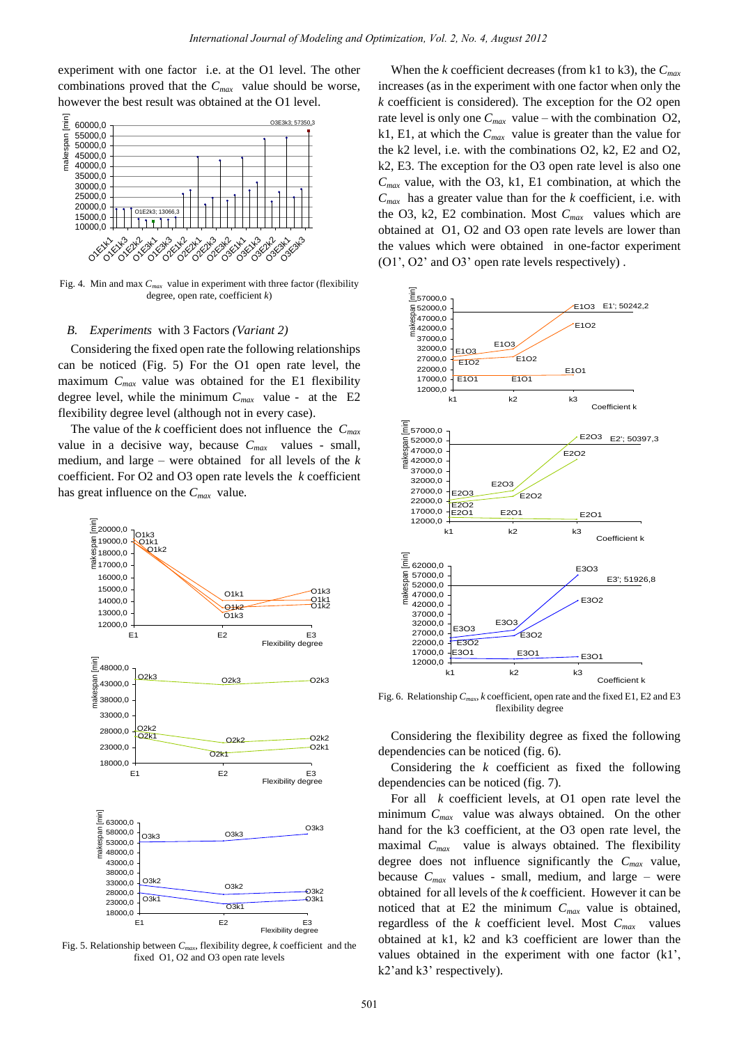experiment with one factor i.e. at the O1 level. The other combinations proved that the *Cmax* value should be worse, however the best result was obtained at the O1 level.



Fig. 4. Min and max *Cmax* value in experiment with three factor (flexibility degree, open rate, coefficient *k*)

# *B. Experiments* with 3 Factors *(Variant 2)*

Considering the fixed open rate the following relationships can be noticed (Fig. 5) For the O1 open rate level, the maximum *Cmax* value was obtained for the E1 flexibility degree level, while the minimum *Cmax* value - at the E2 flexibility degree level (although not in every case).

The value of the *k* coefficient does not influence the  $C_{max}$ value in a decisive way, because *Cmax* values - small, medium, and large – were obtained for all levels of the *k* coefficient. For O2 and O3 open rate levels the *k* coefficient has great influence on the *Cmax* value*.*



Fig. 5. Relationship between *Cmax*, flexibility degree, *k* coefficient and the fixed O1, O2 and O3 open rate levels

When the *k* coefficient decreases (from k1 to k3), the *Cmax* increases (as in the experiment with one factor when only the *k* coefficient is considered). The exception for the O2 open rate level is only one  $C_{max}$  value – with the combination O2, k1, E1, at which the *Cmax* value is greater than the value for the k2 level, i.e. with the combinations O2, k2, E2 and O2, k2, E3. The exception for the O3 open rate level is also one  $C_{max}$  value, with the O3, k1, E1 combination, at which the  $C_{max}$  has a greater value than for the  $k$  coefficient, i.e. with the O3, k2, E2 combination. Most *Cmax* values which are obtained at O1, O2 and O3 open rate levels are lower than the values which were obtained in one-factor experiment (O1', O2' and O3' open rate levels respectively) .



Fig. 6. Relationship *Cmax*, *k* coefficient, open rate and the fixed E1, E2 and E3 flexibility degree

Considering the flexibility degree as fixed the following dependencies can be noticed (fig. 6).

Considering the *k* coefficient as fixed the following dependencies can be noticed (fig. 7).

For all *k* coefficient levels, at O1 open rate level the minimum *Cmax* value was always obtained. On the other hand for the k3 coefficient, at the O3 open rate level, the maximal *Cmax* value is always obtained. The flexibility degree does not influence significantly the *Cmax* value, because  $C_{max}$  values - small, medium, and large – were obtained for all levels of the *k* coefficient. However it can be noticed that at E2 the minimum *Cmax* value is obtained, regardless of the *k* coefficient level. Most *Cmax* values obtained at k1, k2 and k3 coefficient are lower than the values obtained in the experiment with one factor (k1', k2'and k3' respectively).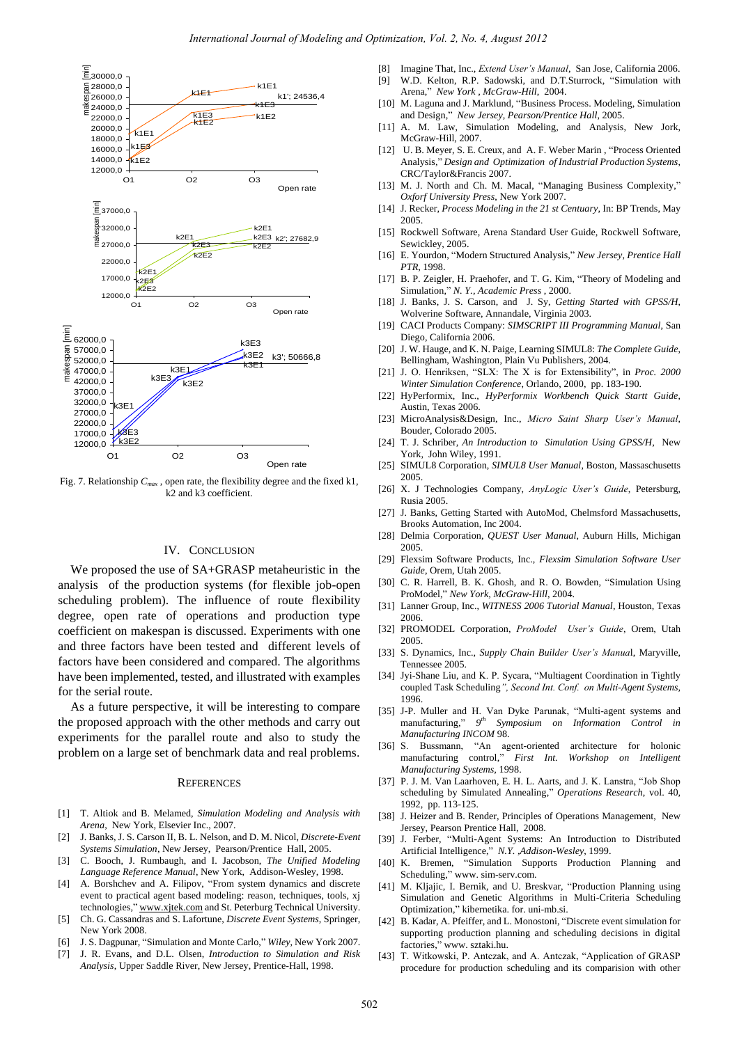

Fig. 7. Relationship *Cmax* , open rate, the flexibility degree and the fixed k1, k2 and k3 coefficient.

## IV. CONCLUSION

We proposed the use of SA+GRASP metaheuristic in the analysis of the production systems (for flexible job-open scheduling problem). The influence of route flexibility degree, open rate of operations and production type coefficient on makespan is discussed. Experiments with one and three factors have been tested and different levels of factors have been considered and compared. The algorithms have been implemented, tested, and illustrated with examples for the serial route.

As a future perspective, it will be interesting to compare the proposed approach with the other methods and carry out experiments for the parallel route and also to study the problem on a large set of benchmark data and real problems.

#### **REFERENCES**

- [1] T. Altiok and B. Melamed, *Simulation Modeling and Analysis with Arena*, New York, Elsevier Inc., 2007.
- [2] J. Banks, J. S. Carson II, B. L. Nelson, and D. M. Nicol, *Discrete-Event Systems Simulation*, New Jersey, Pearson/Prentice Hall, 2005.
- [3] C. Booch, J. Rumbaugh, and I. Jacobson, *The Unified Modeling Language Reference Manual*, New York, Addison-Wesley, 1998.
- [4] A. Borshchev and A. Filipov, "From system dynamics and discrete event to practical agent based modeling: reason, techniques, tools, xj technologies," [www.xjtek.com a](http://www.xjtek.com/)nd St. Peterburg Technical University.
- [5] Ch. G. Cassandras and S. Lafortune, *Discrete Event Systems*, Springer, New York 2008.
- [6] J. S. Dagpunar, "Simulation and Monte Carlo," *Wiley,* New York 2007.
- [7] J. R. Evans, and D.L. Olsen, *Introduction to Simulation and Risk Analysis*, Upper Saddle River, New Jersey, Prentice-Hall, 1998.
- [8] Imagine That, Inc., *Extend User's Manual*, San Jose, California 2006.
- [9] W.D. Kelton, R.P. Sadowski, and D.T.Sturrock, "Simulation with Arena," *New York , McGraw-Hill*, 2004.
- [10] M. Laguna and J. Marklund, "Business Process. Modeling, Simulation and Design," *New Jersey*, *Pearson/Prentice Hall*, 2005.
- [11] A. M. Law, Simulation Modeling, and Analysis, New Jork, McGraw-Hill, 2007.
- [12] U. B. Meyer, S. E. Creux, and A. F. Weber Marin , "Process Oriented Analysis," *Design and Optimization of Industrial Production Systems*, CRC/Taylor&Francis 2007.
- [13] M. J. North and Ch. M. Macal, "Managing Business Complexity," *Oxforf University Press*, New York 2007.
- [14] J. Recker, *Process Modeling in the 21 st Centuary*, In: BP Trends, May 2005.
- [15] Rockwell Software, Arena Standard User Guide, Rockwell Software, Sewickley, 2005.
- [16] E. Yourdon, "Modern Structured Analysis," *New Jersey, Prentice Hall PTR*, 1998.
- [17] B. P. Zeigler, H. Praehofer, and T. G. Kim, "Theory of Modeling and Simulation," *N. Y., Academic Press* , 2000.
- [18] J. Banks, J. S. Carson, and J. Sy, *Getting Started with GPSS/H*, Wolverine Software, Annandale, Virginia 2003.
- [19] CACI Products Company: *SIMSCRIPT III Programming Manual*, San Diego, California 2006.
- [20] J. W. Hauge, and K. N. Paige, Learning SIMUL8: *The Complete Guide*, Bellingham, Washington, Plain Vu Publishers, 2004.
- [21] J. O. Henriksen, "SLX: The X is for Extensibility", in *Proc. 2000 Winter Simulation Conference*, Orlando, 2000, pp. 183-190.
- [22] HyPerformix, Inc., *HyPerformix Workbench Quick Startt Guide*, Austin, Texas 2006.
- [23] MicroAnalysis&Design, Inc., *Micro Saint Sharp User's Manual*, Bouder, Colorado 2005.
- [24] T. J. Schriber, *An Introduction to Simulation Using GPSS/H*, New York, John Wiley, 1991.
- [25] SIMUL8 Corporation, *SIMUL8 User Manual*, Boston, Massaschusetts 2005.
- [26] X. J Technologies Company, *AnyLogic User's Guide*, Petersburg, Rusia 2005.
- [27] J. Banks, Getting Started with AutoMod, Chelmsford Massachusetts, Brooks Automation, Inc 2004.
- [28] Delmia Corporation, *QUEST User Manual*, Auburn Hills, Michigan 2005.
- [29] Flexsim Software Products, Inc., *Flexsim Simulation Software User Guide*, Orem, Utah 2005.
- [30] C. R. Harrell, B. K. Ghosh, and R. O. Bowden, "Simulation Using ProModel," *New York, McGraw-Hill*, 2004.
- [31] Lanner Group, Inc., *WITNESS 2006 Tutorial Manual*, Houston, Texas 2006.
- [32] PROMODEL Corporation, *ProModel User's Guide*, Orem, Utah 2005.
- [33] S. Dynamics, Inc., *Supply Chain Builder User's Manua*l, Maryville, Tennessee 2005.
- [34] Jyi-Shane Liu, and K. P. Sycara, "Multiagent Coordination in Tightly coupled Task Scheduling*", Second Int. Conf. on Multi-Agent Systems*, 1996.
- [35] J-P. Muller and H. Van Dyke Parunak, "Multi-agent systems and manufacturing,"  $9<sup>th</sup>$  Symposium on Information Control in *Manufacturing INCOM* 98.
- [36] S. Bussmann, "An agent-oriented architecture for holonic manufacturing control," *First Int. Workshop on Intelligent Manufacturing Systems,* 1998.
- [37] P. J. M. Van Laarhoven, E. H. L. Aarts, and J. K. Lanstra, "Job Shop scheduling by Simulated Annealing," *Operations Research*, vol. 40, 1992, pp. 113-125.
- [38] J. Heizer and B. Render, Principles of Operations Management, New Jersey, Pearson Prentice Hall, 2008.
- [39] J. Ferber, "Multi-Agent Systems: An Introduction to Distributed Artificial Intelligence," *N.Y. ,Addison-Wesley*, 1999.
- [40] K. Bremen, "Simulation Supports Production Planning and Scheduling," www. sim-serv.com.
- [41] M. Kljajic, I. Bernik, and U. Breskvar, "Production Planning using Simulation and Genetic Algorithms in Multi-Criteria Scheduling Optimization," kibernetika. for. uni-mb.si.
- [42] B. Kadar, A. Pfeiffer, and L. Monostoni, "Discrete event simulation for supporting production planning and scheduling decisions in digital factories," www. sztaki.hu.
- [43] T. Witkowski, P. Antczak, and A. Antczak, "Application of GRASP procedure for production scheduling and its comparision with other